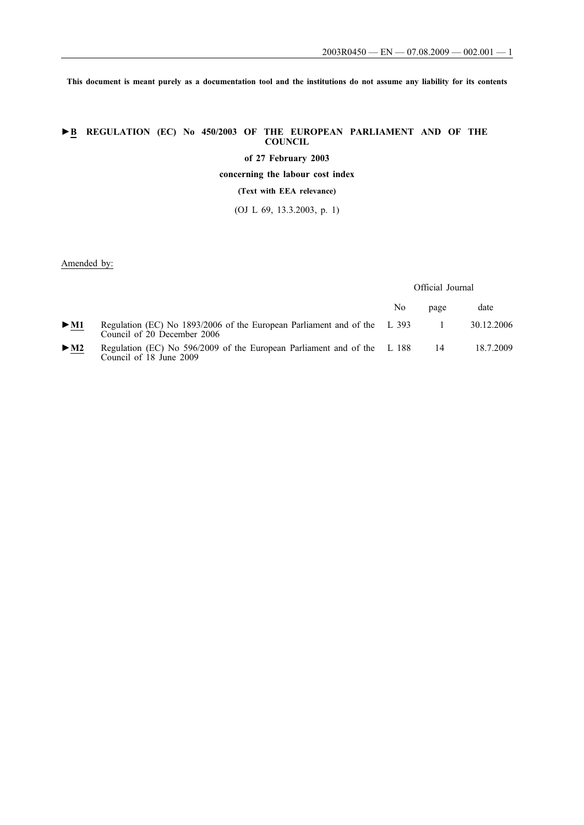**This document is meant purely as a documentation tool and the institutions do not assume any liability for its contents**

# **►B REGULATION (EC) No 450/2003 OF THE EUROPEAN PARLIAMENT AND OF THE COUNCIL**

**of 27 February 2003**

**concerning the labour cost index**

**(Text with EEA relevance)**

(OJ L 69, 13.3.2003, p. 1)

Amended by:

Official Journal

|        |                                                                                                         | No | page | date       |
|--------|---------------------------------------------------------------------------------------------------------|----|------|------------|
| $>$ M1 | Regulation (EC) No 1893/2006 of the European Parliament and of the L 393<br>Council of 20 December 2006 |    |      | 30.12.2006 |
| $>$ M2 | Regulation (EC) No 596/2009 of the European Parliament and of the L 188<br>Council of 18 June 2009      |    | 14   | 18.7.2009  |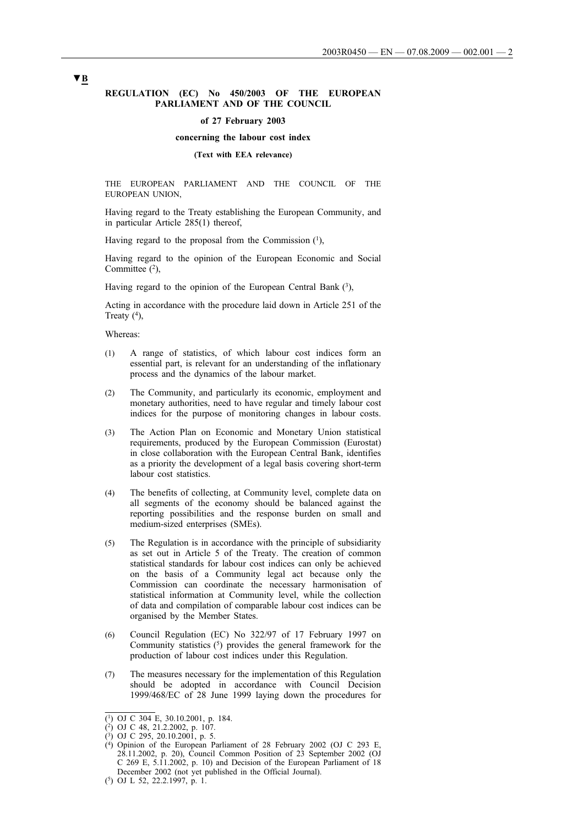### **REGULATION (EC) No 450/2003 OF THE EUROPEAN PARLIAMENT AND OF THE COUNCIL**

#### **of 27 February 2003**

#### **concerning the labour cost index**

### **(Text with EEA relevance)**

THE EUROPEAN PARLIAMENT AND THE COUNCIL OF THE EUROPEAN UNION,

Having regard to the Treaty establishing the European Community, and in particular Article 285(1) thereof,

Having regard to the proposal from the Commission  $(1)$ ,

Having regard to the opinion of the European Economic and Social Committee  $(2)$ ,

Having regard to the opinion of the European Central Bank  $(3)$ ,

Acting in accordance with the procedure laid down in Article 251 of the Treaty  $(^{4})$ ,

Whereas:

- (1) A range of statistics, of which labour cost indices form an essential part, is relevant for an understanding of the inflationary process and the dynamics of the labour market.
- (2) The Community, and particularly its economic, employment and monetary authorities, need to have regular and timely labour cost indices for the purpose of monitoring changes in labour costs.
- (3) The Action Plan on Economic and Monetary Union statistical requirements, produced by the European Commission (Eurostat) in close collaboration with the European Central Bank, identifies as a priority the development of a legal basis covering short-term labour cost statistics.
- (4) The benefits of collecting, at Community level, complete data on all segments of the economy should be balanced against the reporting possibilities and the response burden on small and medium-sized enterprises (SMEs).
- (5) The Regulation is in accordance with the principle of subsidiarity as set out in Article 5 of the Treaty. The creation of common statistical standards for labour cost indices can only be achieved on the basis of a Community legal act because only the Commission can coordinate the necessary harmonisation of statistical information at Community level, while the collection of data and compilation of comparable labour cost indices can be organised by the Member States.
- (6) Council Regulation (EC) No 322/97 of 17 February 1997 on Community statistics (5) provides the general framework for the production of labour cost indices under this Regulation.
- (7) The measures necessary for the implementation of this Regulation should be adopted in accordance with Council Decision 1999/468/EC of 28 June 1999 laying down the procedures for

<sup>(1)</sup> OJ C 304 E, 30.10.2001, p. 184.

<sup>(2)</sup> OJ C 48, 21.2.2002, p. 107.

 $(3)$  OJ C 295, 20.10.2001, p. 5.

<sup>(4)</sup> Opinion of the European Parliament of 28 February 2002 (OJ C 293 E, 28.11.2002, p. 20), Council Common Position of 23 September 2002 (OJ C 269 E, 5.11.2002, p. 10) and Decision of the European Parliament of 18 December 2002 (not yet published in the Official Journal).

<sup>(5)</sup> OJ L 52, 22.2.1997, p. 1.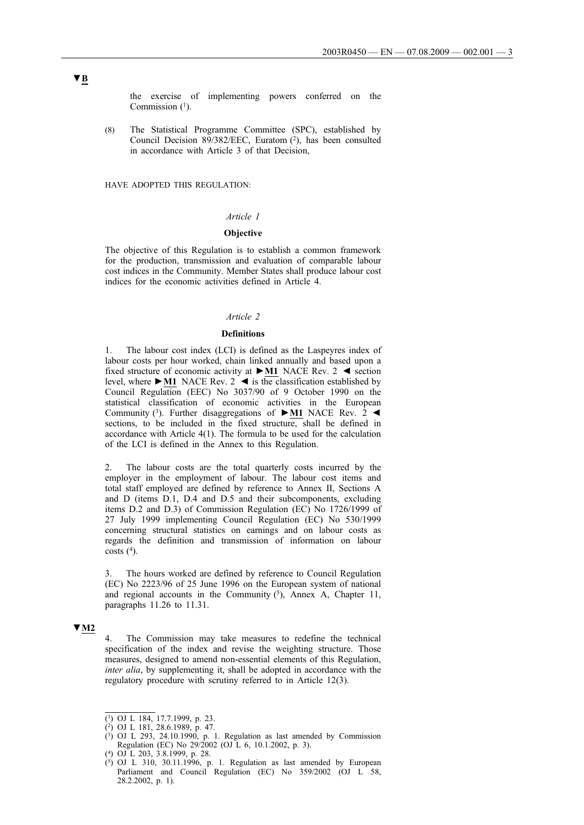the exercise of implementing powers conferred on the Commission  $(1)$ .

(8) The Statistical Programme Committee (SPC), established by Council Decision 89/382/EEC, Euratom (2), has been consulted in accordance with Article 3 of that Decision,

HAVE ADOPTED THIS REGULATION:

## *Article 1*

## **Objective**

The objective of this Regulation is to establish a common framework for the production, transmission and evaluation of comparable labour cost indices in the Community. Member States shall produce labour cost indices for the economic activities defined in Article 4.

## *Article 2*

### **Definitions**

1. The labour cost index (LCI) is defined as the Laspeyres index of labour costs per hour worked, chain linked annually and based upon a fixed structure of economic activity at **►M1** NACE Rev. 2 ◄ section level, where  $\blacktriangleright$  **M1** NACE Rev. 2  $\blacktriangleleft$  is the classification established by Council Regulation (EEC) No 3037/90 of 9 October 1990 on the statistical classification of economic activities in the European Community (3). Further disaggregations of **►M1** NACE Rev. 2 ◄ sections, to be included in the fixed structure, shall be defined in accordance with Article 4(1). The formula to be used for the calculation of the LCI is defined in the Annex to this Regulation.

2. The labour costs are the total quarterly costs incurred by the employer in the employment of labour. The labour cost items and total staff employed are defined by reference to Annex II, Sections A and D (items D.1, D.4 and D.5 and their subcomponents, excluding items D.2 and D.3) of Commission Regulation (EC) No 1726/1999 of 27 July 1999 implementing Council Regulation (EC) No 530/1999 concerning structural statistics on earnings and on labour costs as regards the definition and transmission of information on labour costs  $(4)$ .

3. The hours worked are defined by reference to Council Regulation (EC) No 2223/96 of 25 June 1996 on the European system of national and regional accounts in the Community  $(5)$ , Annex A, Chapter 11, paragraphs 11.26 to 11.31.

## **▼M2**

4. The Commission may take measures to redefine the technical specification of the index and revise the weighting structure. Those measures, designed to amend non-essential elements of this Regulation, *inter alia*, by supplementing it, shall be adopted in accordance with the regulatory procedure with scrutiny referred to in Article 12(3).

<sup>(1)</sup> OJ L 184, 17.7.1999, p. 23.

<sup>(2)</sup> OJ L 181, 28.6.1989, p. 47.

 $(3)$  OJ L 293, 24.10.1990, p. 1. Regulation as last amended by Commission Regulation (EC) No 29/2002 (OJ L 6, 10.1.2002, p. 3).

<sup>(4)</sup> OJ L 203, 3.8.1999, p. 28.

 $(5)$  OJ L 310, 30.11.1996, p. 1. Regulation as last amended by European Parliament and Council Regulation (EC) No 359/2002 (OJ L 58, 28.2.2002, p. 1).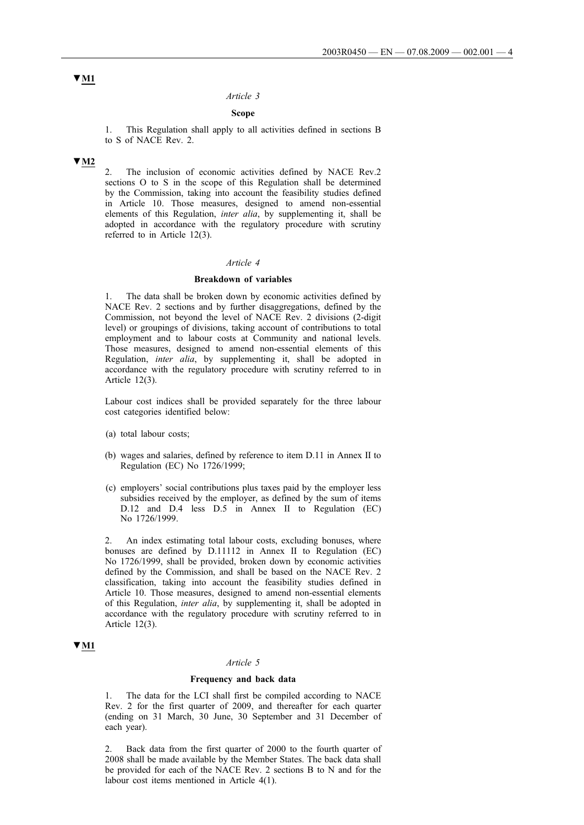### *Article 3*

## **Scope**

1. This Regulation shall apply to all activities defined in sections B to S of NACE Rev. 2.

### **▼M2**

2. The inclusion of economic activities defined by NACE Rev.2 sections O to S in the scope of this Regulation shall be determined by the Commission, taking into account the feasibility studies defined in Article 10. Those measures, designed to amend non-essential elements of this Regulation, *inter alia*, by supplementing it, shall be adopted in accordance with the regulatory procedure with scrutiny referred to in Article 12(3).

## *Article 4*

### **Breakdown of variables**

1. The data shall be broken down by economic activities defined by NACE Rev. 2 sections and by further disaggregations, defined by the Commission, not beyond the level of NACE Rev. 2 divisions (2-digit level) or groupings of divisions, taking account of contributions to total employment and to labour costs at Community and national levels. Those measures, designed to amend non-essential elements of this Regulation, *inter alia*, by supplementing it, shall be adopted in accordance with the regulatory procedure with scrutiny referred to in Article 12(3).

Labour cost indices shall be provided separately for the three labour cost categories identified below:

- (a) total labour costs;
- (b) wages and salaries, defined by reference to item D.11 in Annex II to Regulation (EC) No 1726/1999;
- (c) employers' social contributions plus taxes paid by the employer less subsidies received by the employer, as defined by the sum of items D.12 and D.4 less D.5 in Annex II to Regulation (EC) No 1726/1999.

2. An index estimating total labour costs, excluding bonuses, where bonuses are defined by D.11112 in Annex II to Regulation (EC) No 1726/1999, shall be provided, broken down by economic activities defined by the Commission, and shall be based on the NACE Rev. 2 classification, taking into account the feasibility studies defined in Article 10. Those measures, designed to amend non-essential elements of this Regulation, *inter alia*, by supplementing it, shall be adopted in accordance with the regulatory procedure with scrutiny referred to in Article 12(3).

## **▼M1**

## *Article 5*

## **Frequency and back data**

The data for the LCI shall first be compiled according to NACE Rev. 2 for the first quarter of 2009, and thereafter for each quarter (ending on 31 March, 30 June, 30 September and 31 December of each year).

2. Back data from the first quarter of 2000 to the fourth quarter of 2008 shall be made available by the Member States. The back data shall be provided for each of the NACE Rev. 2 sections B to N and for the labour cost items mentioned in Article 4(1).

# **▼M1**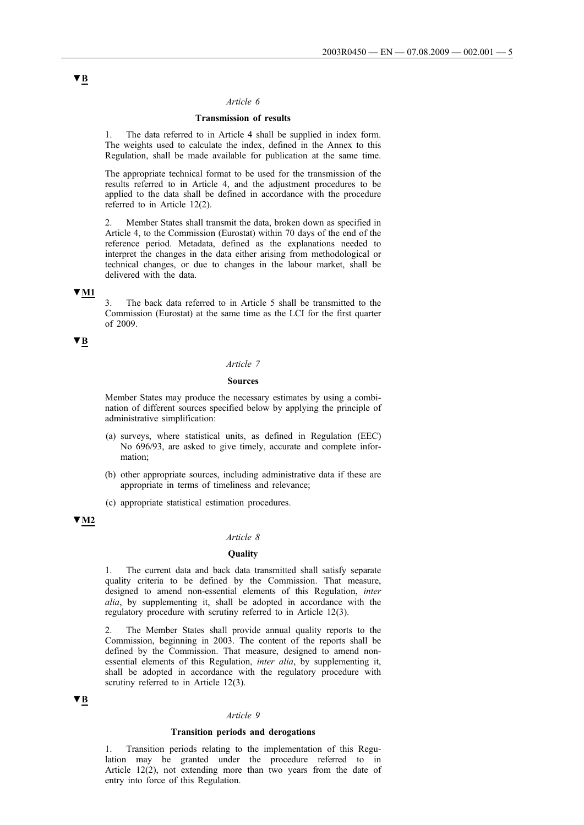### *Article 6*

## **Transmission of results**

1. The data referred to in Article 4 shall be supplied in index form. The weights used to calculate the index, defined in the Annex to this Regulation, shall be made available for publication at the same time.

The appropriate technical format to be used for the transmission of the results referred to in Article 4, and the adjustment procedures to be applied to the data shall be defined in accordance with the procedure referred to in Article 12(2).

2. Member States shall transmit the data, broken down as specified in Article 4, to the Commission (Eurostat) within 70 days of the end of the reference period. Metadata, defined as the explanations needed to interpret the changes in the data either arising from methodological or technical changes, or due to changes in the labour market, shall be delivered with the data.

## **▼M1**

3. The back data referred to in Article 5 shall be transmitted to the Commission (Eurostat) at the same time as the LCI for the first quarter of 2009.

# **▼B**

## *Article 7*

#### **Sources**

Member States may produce the necessary estimates by using a combination of different sources specified below by applying the principle of administrative simplification:

- (a) surveys, where statistical units, as defined in Regulation (EEC) No 696/93, are asked to give timely, accurate and complete information;
- (b) other appropriate sources, including administrative data if these are appropriate in terms of timeliness and relevance;
- (c) appropriate statistical estimation procedures.

# **▼M2**

## *Article 8*

### **Quality**

1. The current data and back data transmitted shall satisfy separate quality criteria to be defined by the Commission. That measure, designed to amend non-essential elements of this Regulation, *inter alia*, by supplementing it, shall be adopted in accordance with the regulatory procedure with scrutiny referred to in Article 12(3).

The Member States shall provide annual quality reports to the Commission, beginning in 2003. The content of the reports shall be defined by the Commission. That measure, designed to amend nonessential elements of this Regulation, *inter alia*, by supplementing it, shall be adopted in accordance with the regulatory procedure with scrutiny referred to in Article 12(3).

## **▼B**

## *Article 9*

### **Transition periods and derogations**

1. Transition periods relating to the implementation of this Regulation may be granted under the procedure referred to in Article 12(2), not extending more than two years from the date of entry into force of this Regulation.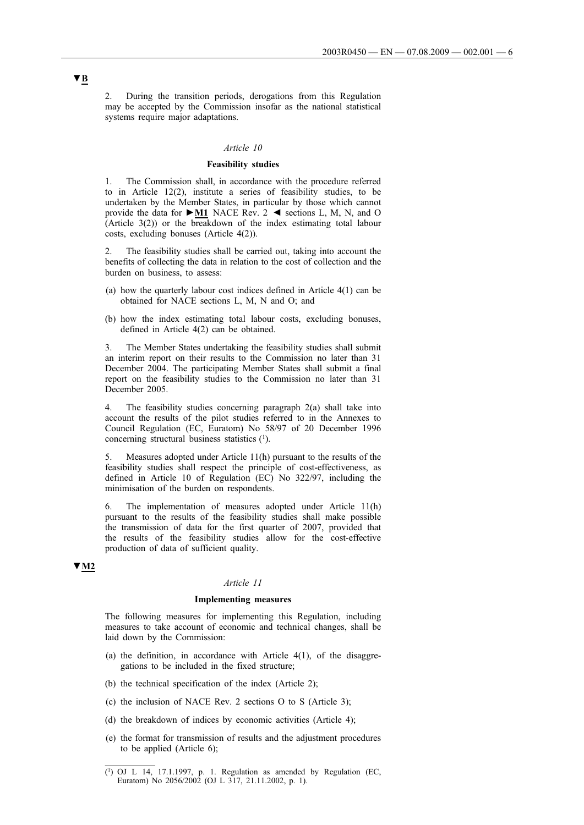2. During the transition periods, derogations from this Regulation may be accepted by the Commission insofar as the national statistical systems require major adaptations.

#### *Article 10*

### **Feasibility studies**

1. The Commission shall, in accordance with the procedure referred to in Article 12(2), institute a series of feasibility studies, to be undertaken by the Member States, in particular by those which cannot provide the data for **►M1** NACE Rev. 2 ◄ sections L, M, N, and O (Article 3(2)) or the breakdown of the index estimating total labour costs, excluding bonuses (Article 4(2)).

2. The feasibility studies shall be carried out, taking into account the benefits of collecting the data in relation to the cost of collection and the burden on business, to assess:

- (a) how the quarterly labour cost indices defined in Article 4(1) can be obtained for NACE sections L, M, N and O; and
- (b) how the index estimating total labour costs, excluding bonuses, defined in Article 4(2) can be obtained.

3. The Member States undertaking the feasibility studies shall submit an interim report on their results to the Commission no later than 31 December 2004. The participating Member States shall submit a final report on the feasibility studies to the Commission no later than 31 December 2005.

4. The feasibility studies concerning paragraph 2(a) shall take into account the results of the pilot studies referred to in the Annexes to Council Regulation (EC, Euratom) No 58/97 of 20 December 1996 concerning structural business statistics (1).

5. Measures adopted under Article 11(h) pursuant to the results of the feasibility studies shall respect the principle of cost-effectiveness, as defined in Article 10 of Regulation (EC) No 322/97, including the minimisation of the burden on respondents.

6. The implementation of measures adopted under Article 11(h) pursuant to the results of the feasibility studies shall make possible the transmission of data for the first quarter of 2007, provided that the results of the feasibility studies allow for the cost-effective production of data of sufficient quality.

# **▼M2**

### *Article 11*

### **Implementing measures**

The following measures for implementing this Regulation, including measures to take account of economic and technical changes, shall be laid down by the Commission:

- (a) the definition, in accordance with Article  $4(1)$ , of the disaggregations to be included in the fixed structure;
- (b) the technical specification of the index (Article 2);
- (c) the inclusion of NACE Rev. 2 sections O to S (Article 3);
- (d) the breakdown of indices by economic activities (Article 4);
- (e) the format for transmission of results and the adjustment procedures to be applied (Article 6);

<sup>(1)</sup> OJ L 14, 17.1.1997, p. 1. Regulation as amended by Regulation (EC, Euratom) No 2056/2002 (OJ L 317, 21.11.2002, p. 1).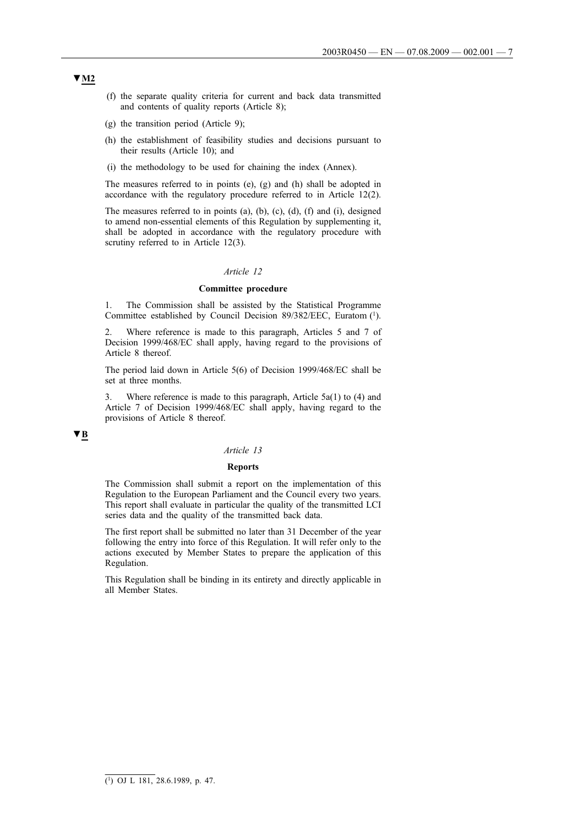- (f) the separate quality criteria for current and back data transmitted and contents of quality reports (Article 8);
- (g) the transition period (Article 9);
- (h) the establishment of feasibility studies and decisions pursuant to their results (Article 10); and
- (i) the methodology to be used for chaining the index (Annex).

The measures referred to in points (e), (g) and (h) shall be adopted in accordance with the regulatory procedure referred to in Article 12(2).

The measures referred to in points (a), (b), (c), (d), (f) and (i), designed to amend non-essential elements of this Regulation by supplementing it, shall be adopted in accordance with the regulatory procedure with scrutiny referred to in Article 12(3).

### *Article 12*

## **Committee procedure**

1. The Commission shall be assisted by the Statistical Programme Committee established by Council Decision 89/382/EEC, Euratom (1).

2. Where reference is made to this paragraph, Articles 5 and 7 of Decision 1999/468/EC shall apply, having regard to the provisions of Article 8 thereof.

The period laid down in Article 5(6) of Decision 1999/468/EC shall be set at three months.

3. Where reference is made to this paragraph, Article 5a(1) to (4) and Article 7 of Decision 1999/468/EC shall apply, having regard to the provisions of Article 8 thereof.

# **▼B**

### *Article 13*

#### **Reports**

The Commission shall submit a report on the implementation of this Regulation to the European Parliament and the Council every two years. This report shall evaluate in particular the quality of the transmitted LCI series data and the quality of the transmitted back data.

The first report shall be submitted no later than 31 December of the year following the entry into force of this Regulation. It will refer only to the actions executed by Member States to prepare the application of this Regulation.

This Regulation shall be binding in its entirety and directly applicable in all Member States.

# **▼M2**

 $\overline{(^1)}$  OJ L 181, 28.6.1989, p. 47.